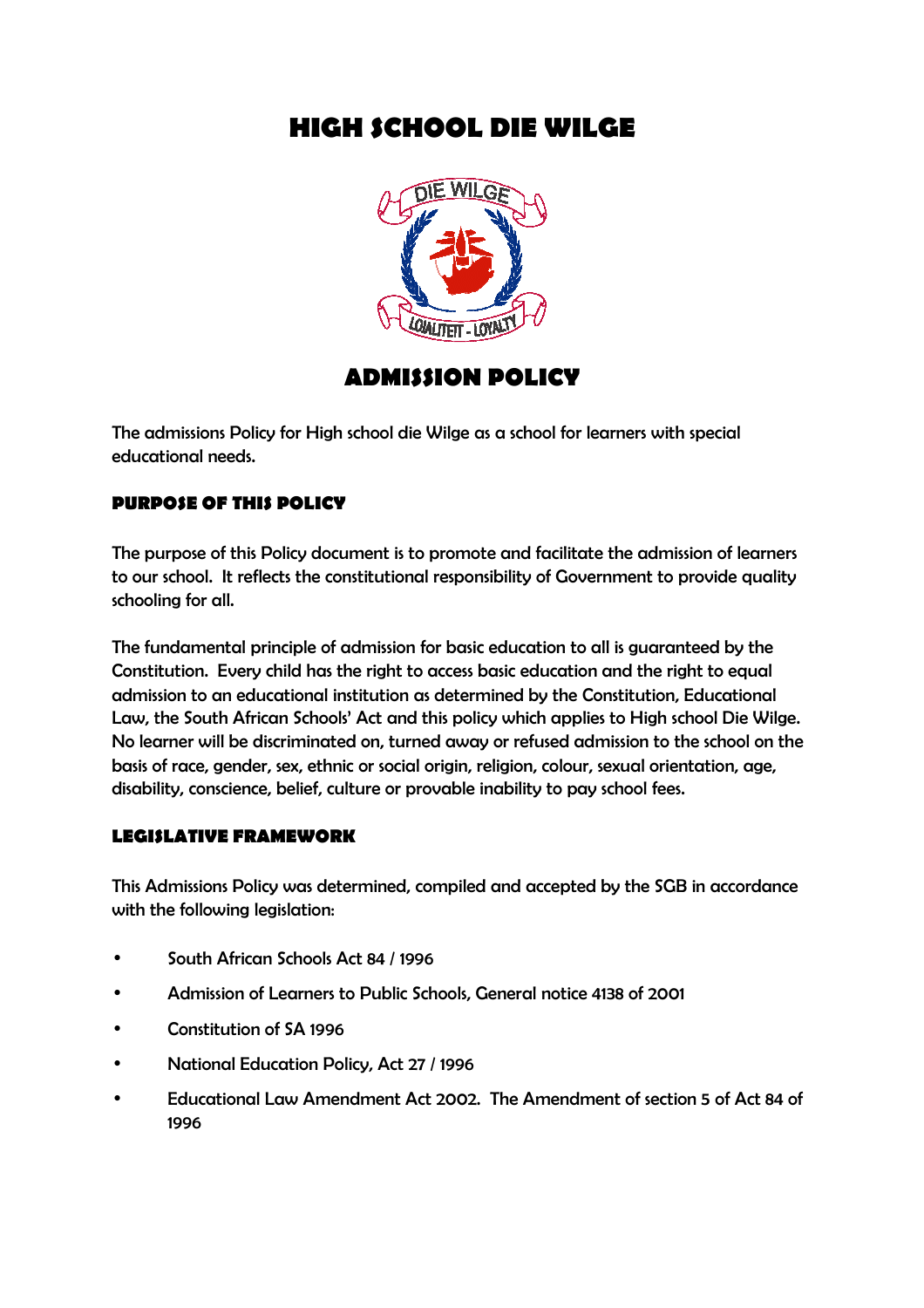# **HIGH SCHOOL DIE WILGE**



# **ADMISSION POLICY**

The admissions Policy for High school die Wilge as a school for learners with special educational needs.

## **PURPOSE OF THIS POLICY**

The purpose of this Policy document is to promote and facilitate the admission of learners to our school. It reflects the constitutional responsibility of Government to provide quality schooling for all.

The fundamental principle of admission for basic education to all is guaranteed by the Constitution. Every child has the right to access basic education and the right to equal admission to an educational institution as determined by the Constitution, Educational Law, the South African Schools' Act and this policy which applies to High school Die Wilge. No learner will be discriminated on, turned away or refused admission to the school on the basis of race, gender, sex, ethnic or social origin, religion, colour, sexual orientation, age, disability, conscience, belief, culture or provable inability to pay school fees.

### **LEGISLATIVE FRAMEWORK**

This Admissions Policy was determined, compiled and accepted by the SGB in accordance with the following legislation:

- South African Schools Act 84 / 1996
- Admission of Learners to Public Schools, General notice 4138 of 2001
- Constitution of SA 1996
- National Education Policy, Act 27 / 1996
- Educational Law Amendment Act 2002. The Amendment of section 5 of Act 84 of 1996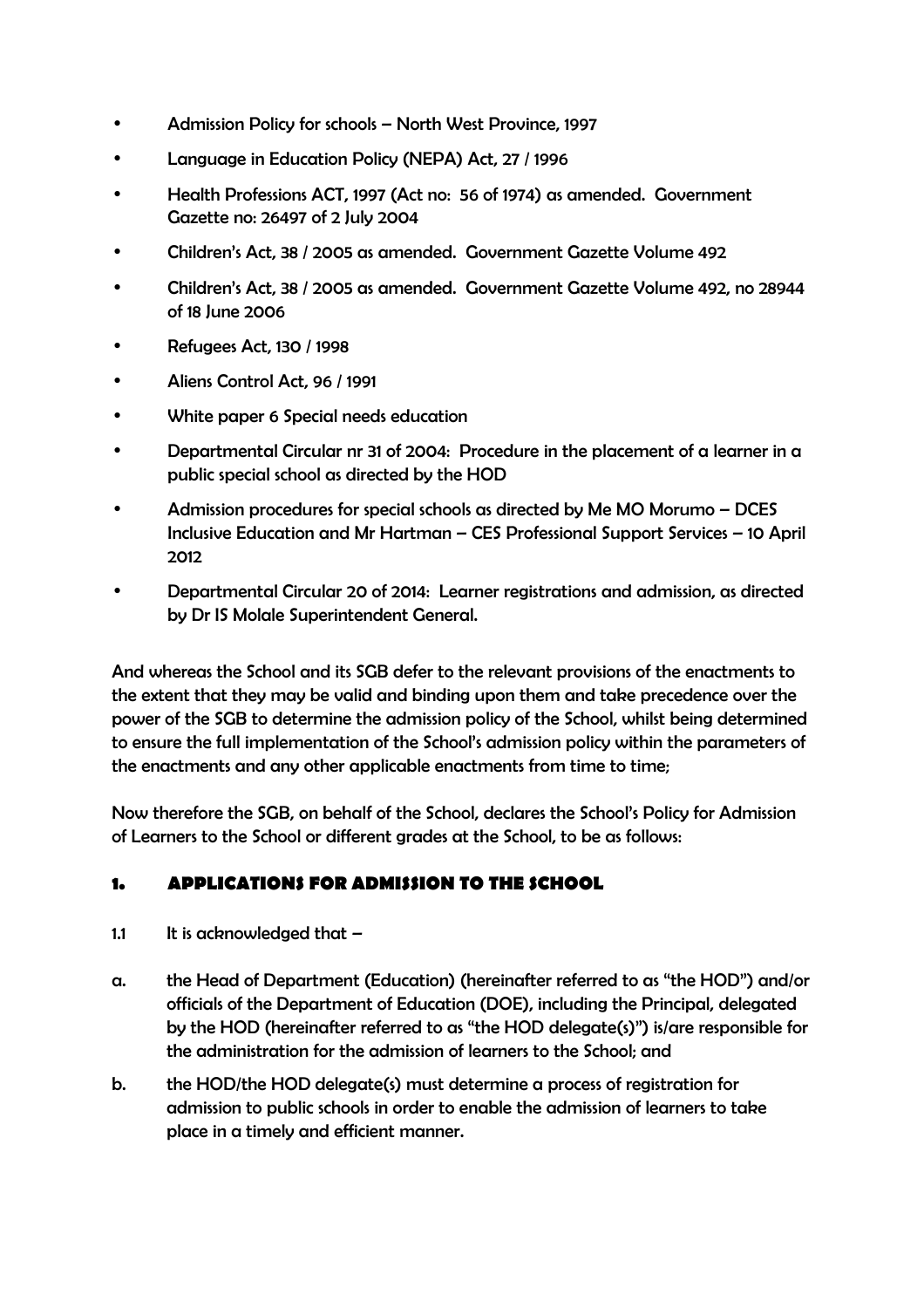- Admission Policy for schools North West Province, 1997
- Language in Education Policy (NEPA) Act, 27 / 1996
- Health Professions ACT, 1997 (Act no: 56 of 1974) as amended. Government Gazette no: 26497 of 2 July 2004
- Children's Act, 38 / 2005 as amended. Government Gazette Volume 492
- Children's Act, 38 / 2005 as amended. Government Gazette Volume 492, no 28944 of 18 June 2006
- Refugees Act, 130 / 1998
- Aliens Control Act, 96 / 1991
- White paper 6 Special needs education
- Departmental Circular nr 31 of 2004: Procedure in the placement of a learner in a public special school as directed by the HOD
- Admission procedures for special schools as directed by Me MO Morumo DCES Inclusive Education and Mr Hartman – CES Professional Support Services – 10 April 2012
- Departmental Circular 20 of 2014: Learner registrations and admission, as directed by Dr IS Molale Superintendent General.

And whereas the School and its SGB defer to the relevant provisions of the enactments to the extent that they may be valid and binding upon them and take precedence over the power of the SGB to determine the admission policy of the School, whilst being determined to ensure the full implementation of the School's admission policy within the parameters of the enactments and any other applicable enactments from time to time;

Now therefore the SGB, on behalf of the School, declares the School's Policy for Admission of Learners to the School or different grades at the School, to be as follows:

## **1. APPLICATIONS FOR ADMISSION TO THE SCHOOL**

- 1.1 It is acknowledged that  $-$
- a. the Head of Department (Education) (hereinafter referred to as "the HOD") and/or officials of the Department of Education (DOE), including the Principal, delegated by the HOD (hereinafter referred to as "the HOD delegate(s)") is/are responsible for the administration for the admission of learners to the School; and
- b. the HOD/the HOD delegate(s) must determine a process of registration for admission to public schools in order to enable the admission of learners to take place in a timely and efficient manner.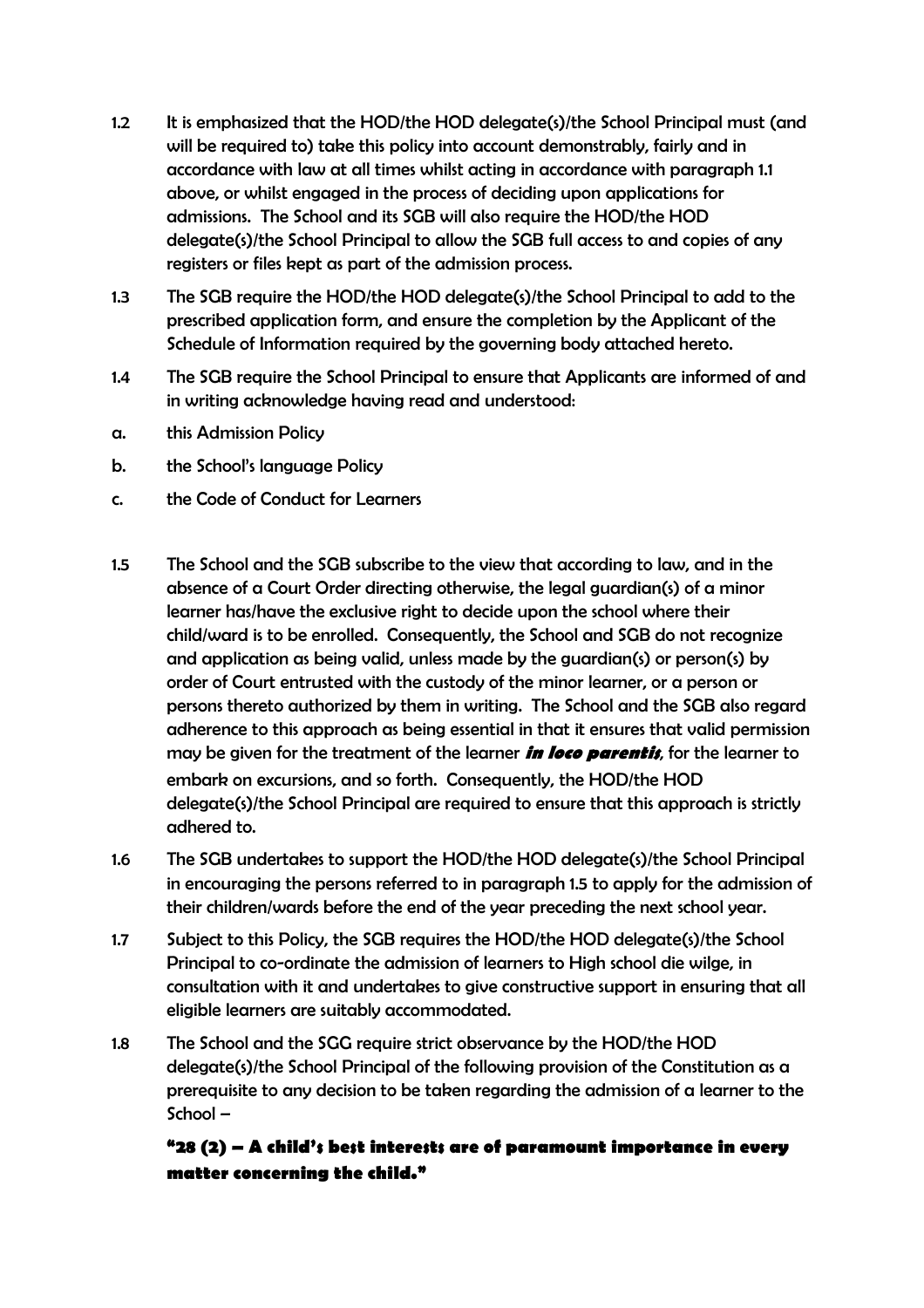- 1.2 It is emphasized that the HOD/the HOD delegate(s)/the School Principal must (and will be required to) take this policy into account demonstrably, fairly and in accordance with law at all times whilst acting in accordance with paragraph 1.1 above, or whilst engaged in the process of deciding upon applications for admissions. The School and its SGB will also require the HOD/the HOD delegate(s)/the School Principal to allow the SGB full access to and copies of any registers or files kept as part of the admission process.
- 1.3 The SGB require the HOD/the HOD delegate(s)/the School Principal to add to the prescribed application form, and ensure the completion by the Applicant of the Schedule of Information required by the governing body attached hereto.
- 1.4 The SGB require the School Principal to ensure that Applicants are informed of and in writing acknowledge having read and understood:
- a. this Admission Policy
- b. the School's language Policy
- c. the Code of Conduct for Learners
- 1.5 The School and the SGB subscribe to the view that according to law, and in the absence of a Court Order directing otherwise, the legal guardian(s) of a minor learner has/have the exclusive right to decide upon the school where their child/ward is to be enrolled. Consequently, the School and SGB do not recognize and application as being valid, unless made by the guardian(s) or person(s) by order of Court entrusted with the custody of the minor learner, or a person or persons thereto authorized by them in writing. The School and the SGB also regard adherence to this approach as being essential in that it ensures that valid permission may be given for the treatment of the learner **in loco parentis**, for the learner to embark on excursions, and so forth. Consequently, the HOD/the HOD delegate(s)/the School Principal are required to ensure that this approach is strictly adhered to.
- 1.6 The SGB undertakes to support the HOD/the HOD delegate(s)/the School Principal in encouraging the persons referred to in paragraph 1.5 to apply for the admission of their children/wards before the end of the year preceding the next school year.
- 1.7 Subject to this Policy, the SGB requires the HOD/the HOD delegate(s)/the School Principal to co-ordinate the admission of learners to High school die wilge, in consultation with it and undertakes to give constructive support in ensuring that all eligible learners are suitably accommodated.
- 1.8 The School and the SGG require strict observance by the HOD/the HOD delegate(s)/the School Principal of the following provision of the Constitution as a prerequisite to any decision to be taken regarding the admission of a learner to the School –

## **"28 (2) – A child's best interests are of paramount importance in every matter concerning the child."**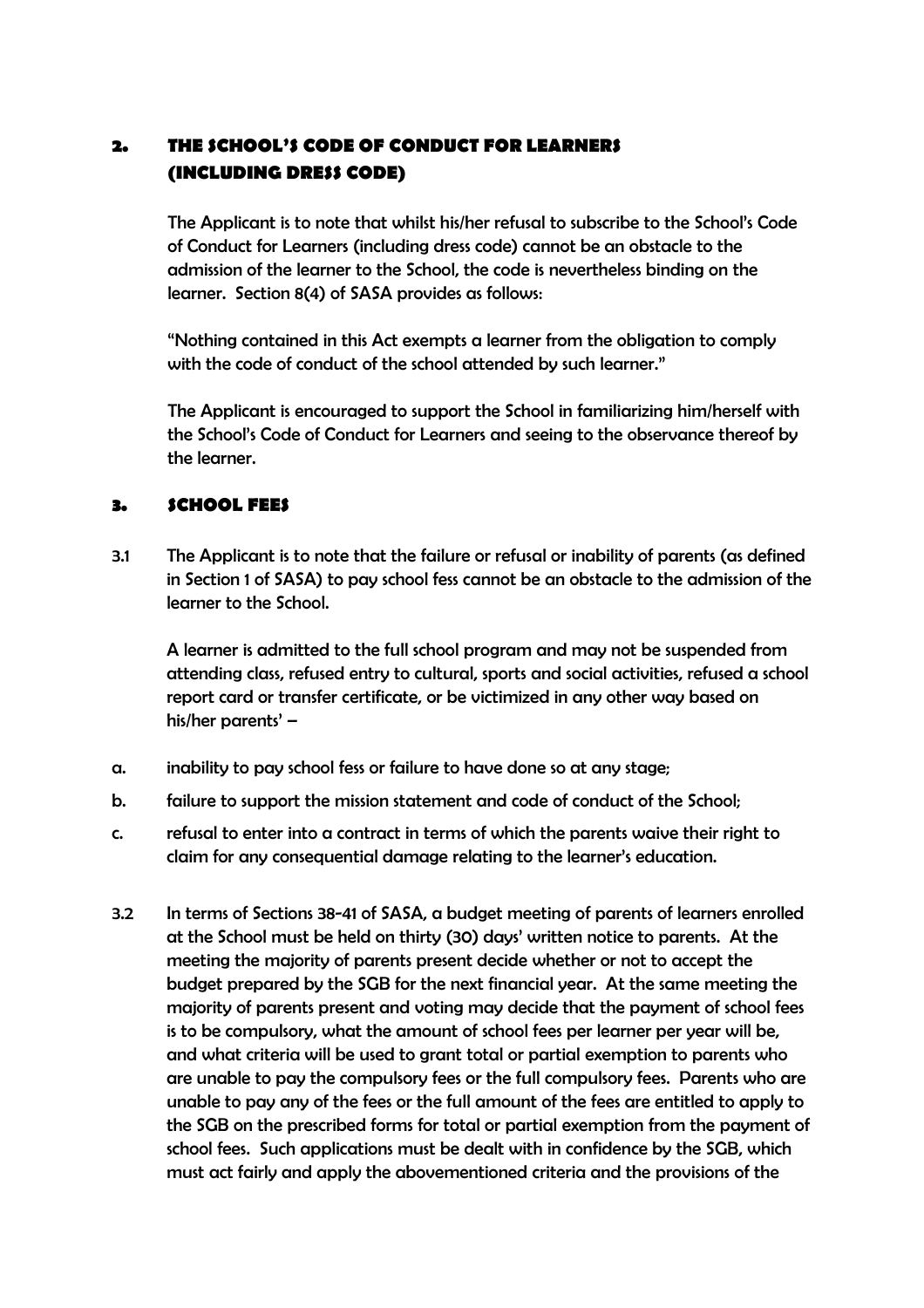## **2. THE SCHOOL'S CODE OF CONDUCT FOR LEARNERS (INCLUDING DRESS CODE)**

The Applicant is to note that whilst his/her refusal to subscribe to the School's Code of Conduct for Learners (including dress code) cannot be an obstacle to the admission of the learner to the School, the code is nevertheless binding on the learner. Section 8(4) of SASA provides as follows:

"Nothing contained in this Act exempts a learner from the obligation to comply with the code of conduct of the school attended by such learner."

The Applicant is encouraged to support the School in familiarizing him/herself with the School's Code of Conduct for Learners and seeing to the observance thereof by the learner.

### **3. SCHOOL FEES**

3.1 The Applicant is to note that the failure or refusal or inability of parents (as defined in Section 1 of SASA) to pay school fess cannot be an obstacle to the admission of the learner to the School.

 A learner is admitted to the full school program and may not be suspended from attending class, refused entry to cultural, sports and social activities, refused a school report card or transfer certificate, or be victimized in any other way based on his/her parents' –

- a. inability to pay school fess or failure to have done so at any stage;
- b. failure to support the mission statement and code of conduct of the School;
- c. refusal to enter into a contract in terms of which the parents waive their right to claim for any consequential damage relating to the learner's education.
- 3.2 In terms of Sections 38-41 of SASA, a budget meeting of parents of learners enrolled at the School must be held on thirty (30) days' written notice to parents. At the meeting the majority of parents present decide whether or not to accept the budget prepared by the SGB for the next financial year. At the same meeting the majority of parents present and voting may decide that the payment of school fees is to be compulsory, what the amount of school fees per learner per year will be, and what criteria will be used to grant total or partial exemption to parents who are unable to pay the compulsory fees or the full compulsory fees. Parents who are unable to pay any of the fees or the full amount of the fees are entitled to apply to the SGB on the prescribed forms for total or partial exemption from the payment of school fees. Such applications must be dealt with in confidence by the SGB, which must act fairly and apply the abovementioned criteria and the provisions of the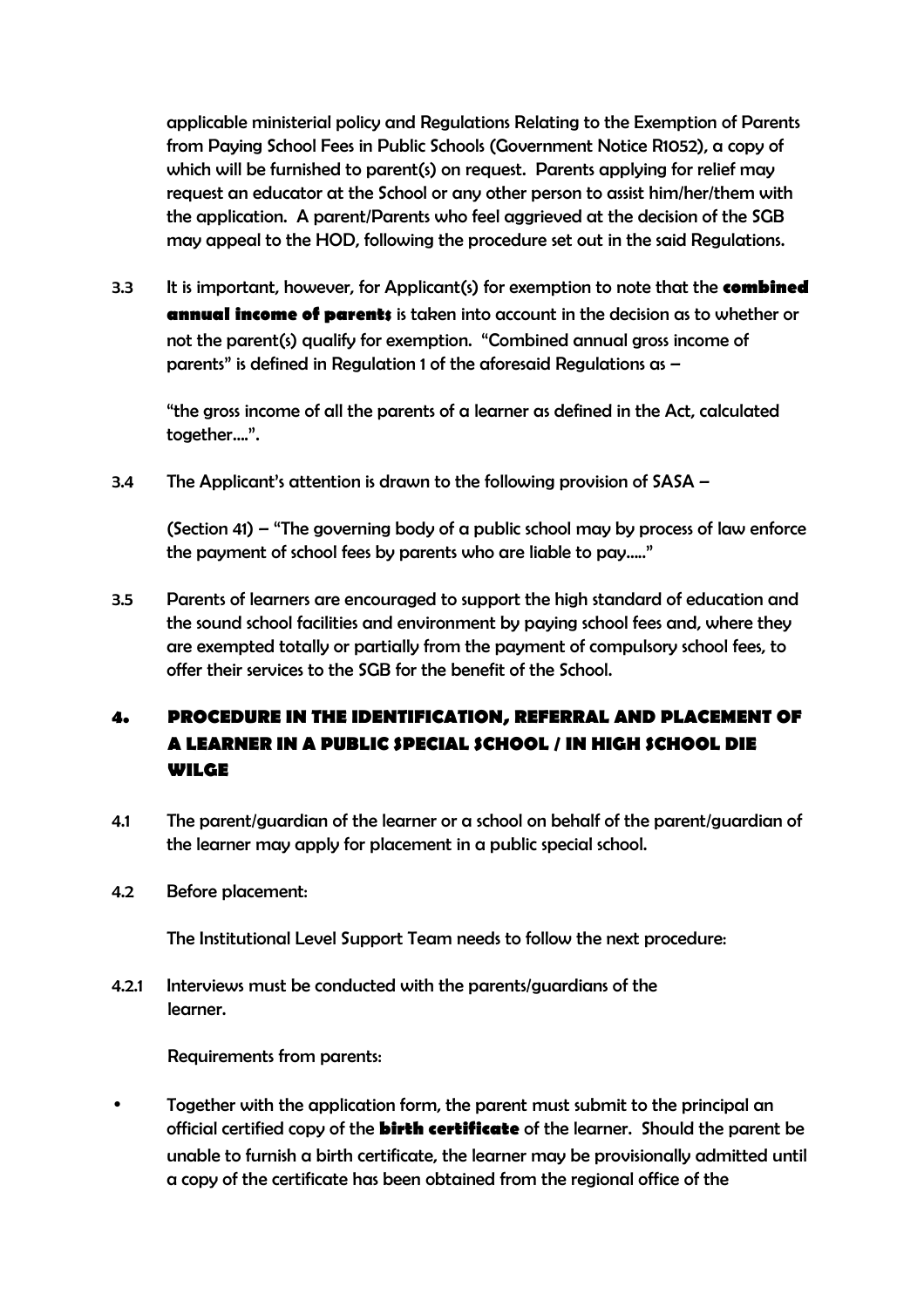applicable ministerial policy and Regulations Relating to the Exemption of Parents from Paying School Fees in Public Schools (Government Notice R1052), a copy of which will be furnished to parent(s) on request. Parents applying for relief may request an educator at the School or any other person to assist him/her/them with the application. A parent/Parents who feel aggrieved at the decision of the SGB may appeal to the HOD, following the procedure set out in the said Regulations.

3.3 It is important, however, for Applicant(s) for exemption to note that the **combined annual income of parents** is taken into account in the decision as to whether or not the parent(s) qualify for exemption. "Combined annual gross income of parents" is defined in Regulation 1 of the aforesaid Regulations as –

 "the gross income of all the parents of a learner as defined in the Act, calculated together….".

3.4 The Applicant's attention is drawn to the following provision of SASA –

 (Section 41) – "The governing body of a public school may by process of law enforce the payment of school fees by parents who are liable to pay….."

3.5 Parents of learners are encouraged to support the high standard of education and the sound school facilities and environment by paying school fees and, where they are exempted totally or partially from the payment of compulsory school fees, to offer their services to the SGB for the benefit of the School.

# **4. PROCEDURE IN THE IDENTIFICATION, REFERRAL AND PLACEMENT OF A LEARNER IN A PUBLIC SPECIAL SCHOOL / IN HIGH SCHOOL DIE WILGE**

- 4.1 The parent/guardian of the learner or a school on behalf of the parent/guardian of the learner may apply for placement in a public special school.
- 4.2 Before placement:

The Institutional Level Support Team needs to follow the next procedure:

4.2.1 Interviews must be conducted with the parents/guardians of the learner.

Requirements from parents:

• Together with the application form, the parent must submit to the principal an official certified copy of the **birth certificate** of the learner. Should the parent be unable to furnish a birth certificate, the learner may be provisionally admitted until a copy of the certificate has been obtained from the regional office of the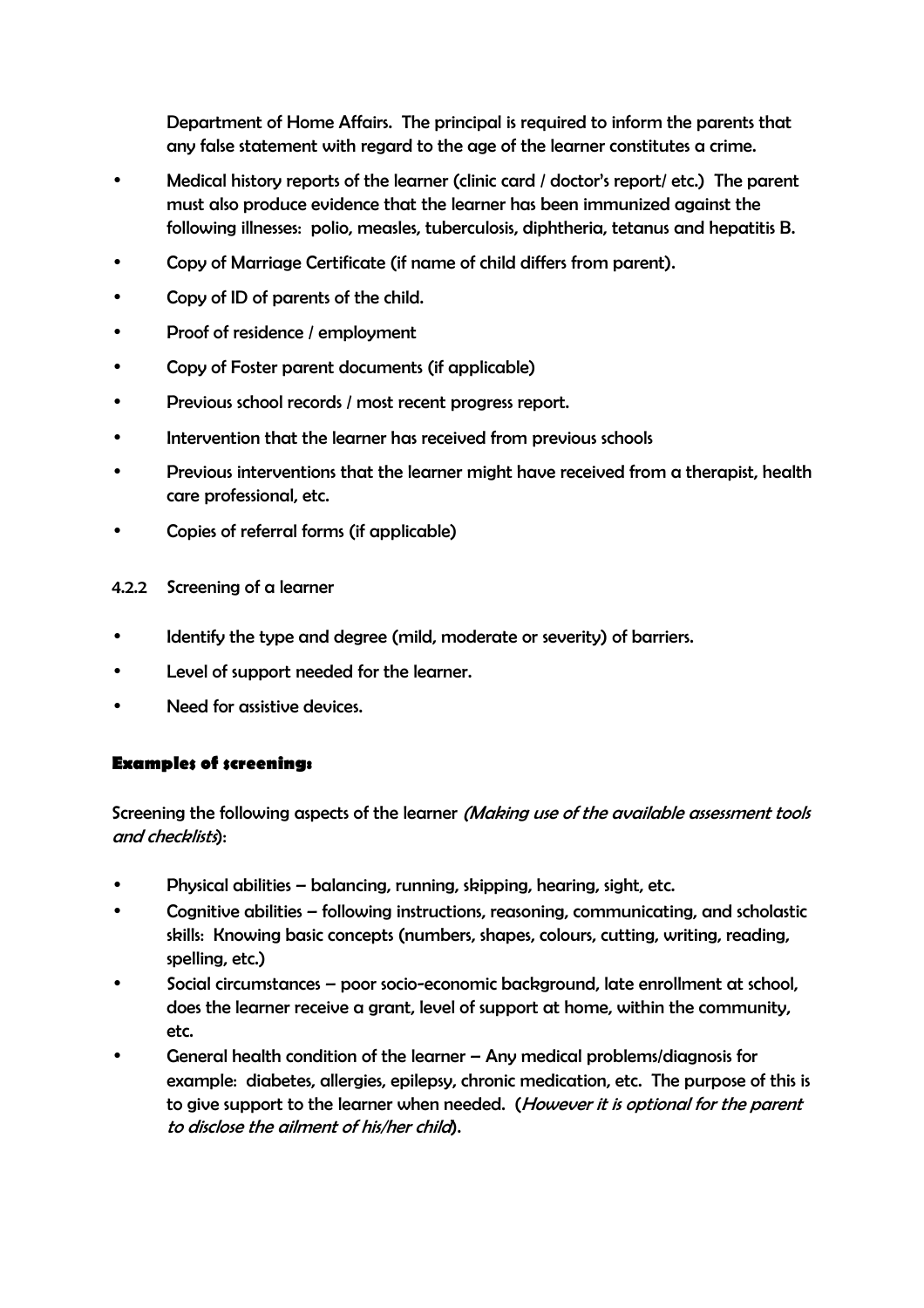Department of Home Affairs. The principal is required to inform the parents that any false statement with regard to the age of the learner constitutes a crime.

- Medical history reports of the learner (clinic card / doctor's report/ etc.) The parent must also produce evidence that the learner has been immunized against the following illnesses: polio, measles, tuberculosis, diphtheria, tetanus and hepatitis B.
- Copy of Marriage Certificate (if name of child differs from parent).
- Copy of ID of parents of the child.
- Proof of residence / employment
- Copy of Foster parent documents (if applicable)
- Previous school records / most recent progress report.
- Intervention that the learner has received from previous schools
- Previous interventions that the learner might have received from a therapist, health care professional, etc.
- Copies of referral forms (if applicable)
- 4.2.2 Screening of a learner
- Identify the type and degree (mild, moderate or severity) of barriers.
- Level of support needed for the learner.
- Need for assistive devices.

### **Examples of screening:**

Screening the following aspects of the learner (Making use of the available assessment tools and checklists):

- Physical abilities balancing, running, skipping, hearing, sight, etc.
- Cognitive abilities following instructions, reasoning, communicating, and scholastic skills: Knowing basic concepts (numbers, shapes, colours, cutting, writing, reading, spelling, etc.)
- Social circumstances poor socio-economic background, late enrollment at school, does the learner receive a grant, level of support at home, within the community, etc.
- General health condition of the learner Any medical problems/diagnosis for example: diabetes, allergies, epilepsy, chronic medication, etc. The purpose of this is to give support to the learner when needed. (However it is optional for the parent to disclose the ailment of his/her child).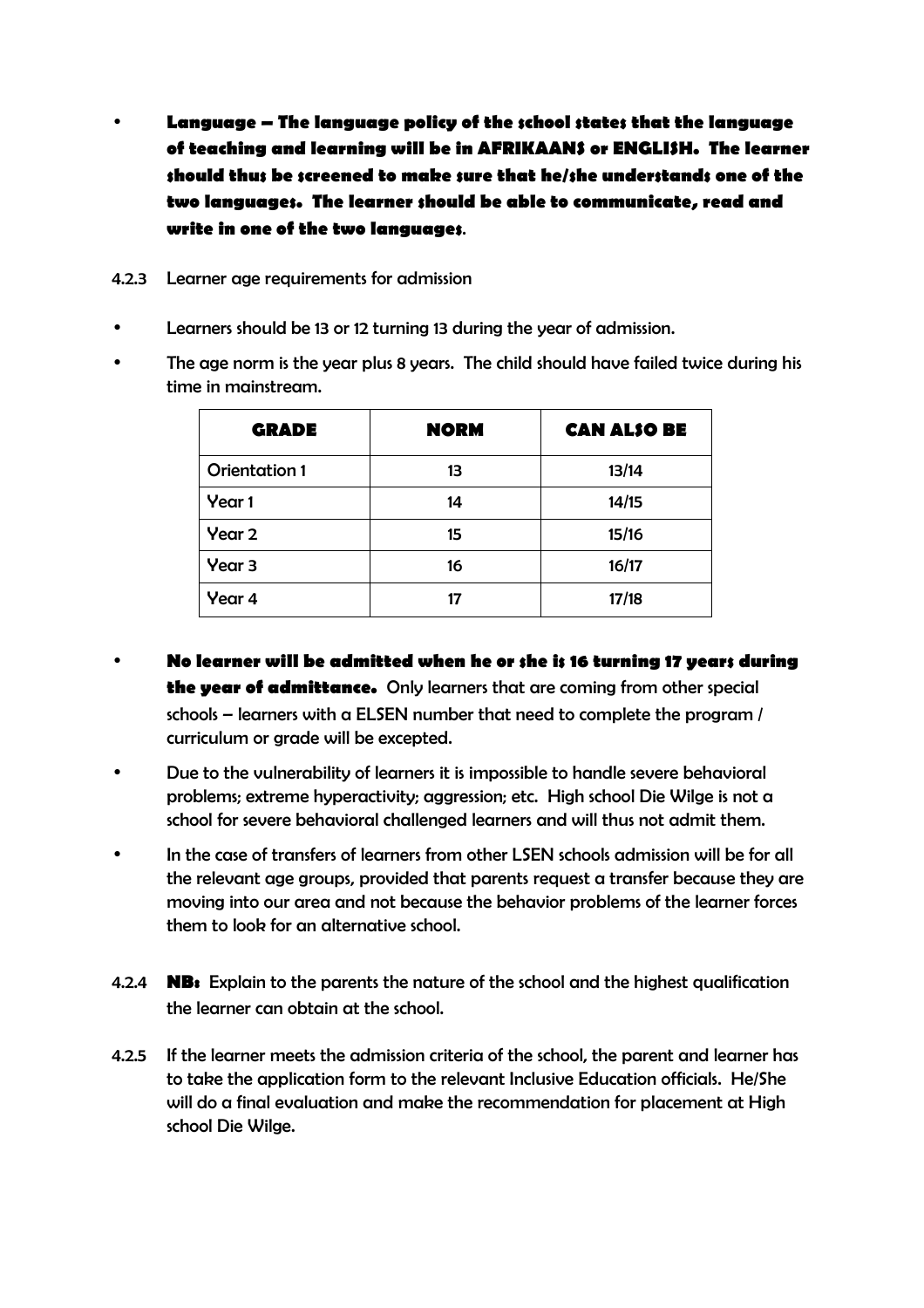- **Language The language policy of the school states that the language of teaching and learning will be in AFRIKAANS or ENGLISH. The learner should thus be screened to make sure that he/she understands one of the two languages. The learner should be able to communicate, read and write in one of the two languages**.
- 4.2.3 Learner age requirements for admission
- Learners should be 13 or 12 turning 13 during the year of admission.
- The age norm is the year plus 8 years. The child should have failed twice during his time in mainstream.

| <b>GRADE</b>         | <b>NORM</b> | <b>CAN ALSO BE</b> |
|----------------------|-------------|--------------------|
| <b>Orientation 1</b> | 13          | 13/14              |
| Year 1               | 14          | 14/15              |
| Year 2               | 15          | 15/16              |
| Year <sub>3</sub>    | 16          | 16/17              |
| Year 4               |             | 17/18              |

- **No learner will be admitted when he or she is 16 turning 17 years during the year of admittance.** Only learners that are coming from other special schools – learners with a ELSEN number that need to complete the program / curriculum or grade will be excepted.
- Due to the vulnerability of learners it is impossible to handle severe behavioral problems; extreme hyperactivity; aggression; etc. High school Die Wilge is not a school for severe behavioral challenged learners and will thus not admit them.
- In the case of transfers of learners from other LSEN schools admission will be for all the relevant age groups, provided that parents request a transfer because they are moving into our area and not because the behavior problems of the learner forces them to look for an alternative school.
- 4.2.4 **NB:** Explain to the parents the nature of the school and the highest qualification the learner can obtain at the school.
- 4.2.5 If the learner meets the admission criteria of the school, the parent and learner has to take the application form to the relevant Inclusive Education officials. He/She will do a final evaluation and make the recommendation for placement at High school Die Wilge.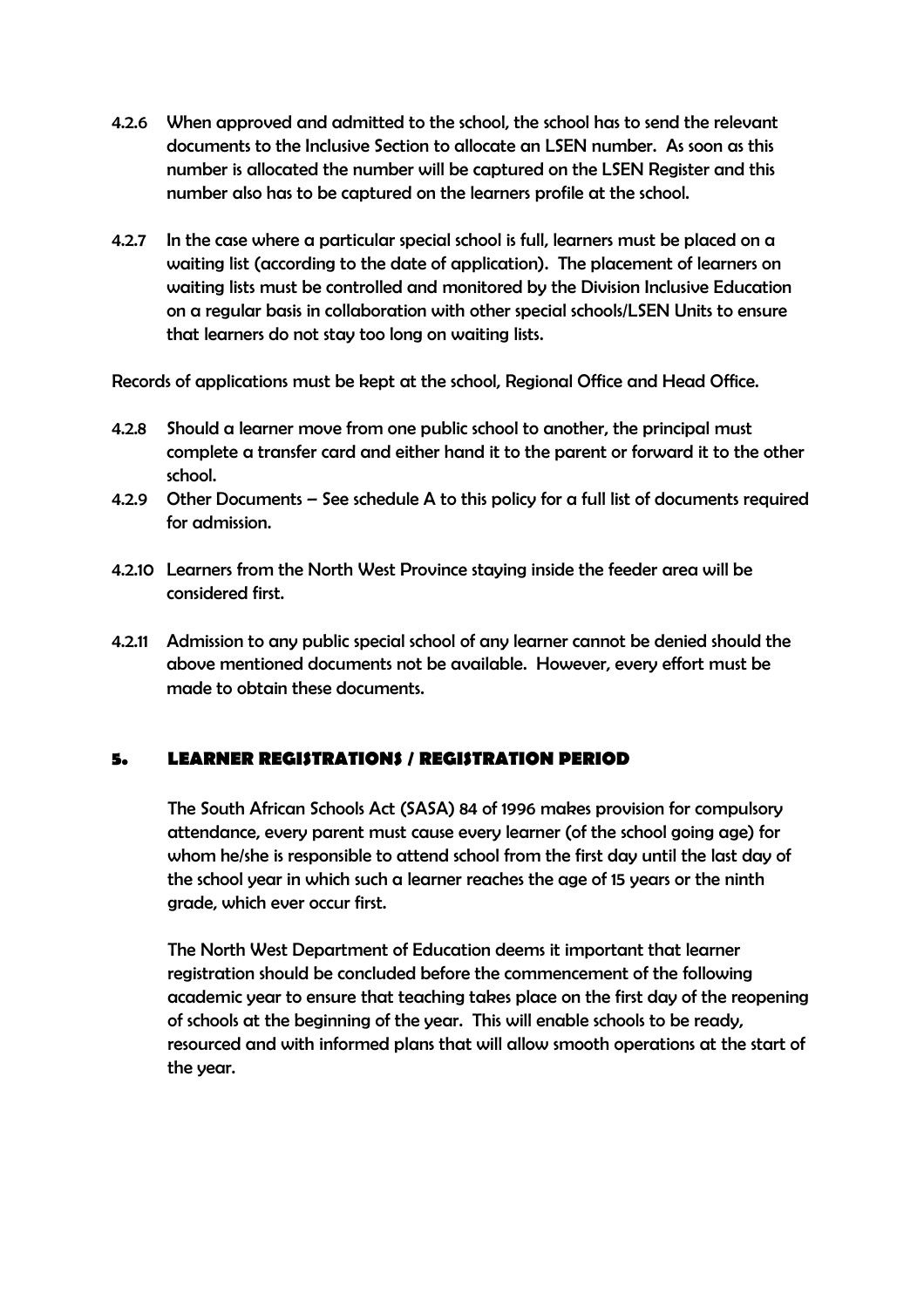- 4.2.6 When approved and admitted to the school, the school has to send the relevant documents to the Inclusive Section to allocate an LSEN number. As soon as this number is allocated the number will be captured on the LSEN Register and this number also has to be captured on the learners profile at the school.
- 4.2.7 In the case where a particular special school is full, learners must be placed on a waiting list (according to the date of application). The placement of learners on waiting lists must be controlled and monitored by the Division Inclusive Education on a regular basis in collaboration with other special schools/LSEN Units to ensure that learners do not stay too long on waiting lists.

Records of applications must be kept at the school, Regional Office and Head Office.

- 4.2.8 Should a learner move from one public school to another, the principal must complete a transfer card and either hand it to the parent or forward it to the other school.
- 4.2.9 Other Documents See schedule A to this policy for a full list of documents required for admission.
- 4.2.10 Learners from the North West Province staying inside the feeder area will be considered first.
- 4.2.11 Admission to any public special school of any learner cannot be denied should the above mentioned documents not be available. However, every effort must be made to obtain these documents.

### **5. LEARNER REGISTRATIONS / REGISTRATION PERIOD**

The South African Schools Act (SASA) 84 of 1996 makes provision for compulsory attendance, every parent must cause every learner (of the school going age) for whom he/she is responsible to attend school from the first day until the last day of the school year in which such a learner reaches the age of 15 years or the ninth grade, which ever occur first.

The North West Department of Education deems it important that learner registration should be concluded before the commencement of the following academic year to ensure that teaching takes place on the first day of the reopening of schools at the beginning of the year. This will enable schools to be ready, resourced and with informed plans that will allow smooth operations at the start of the year.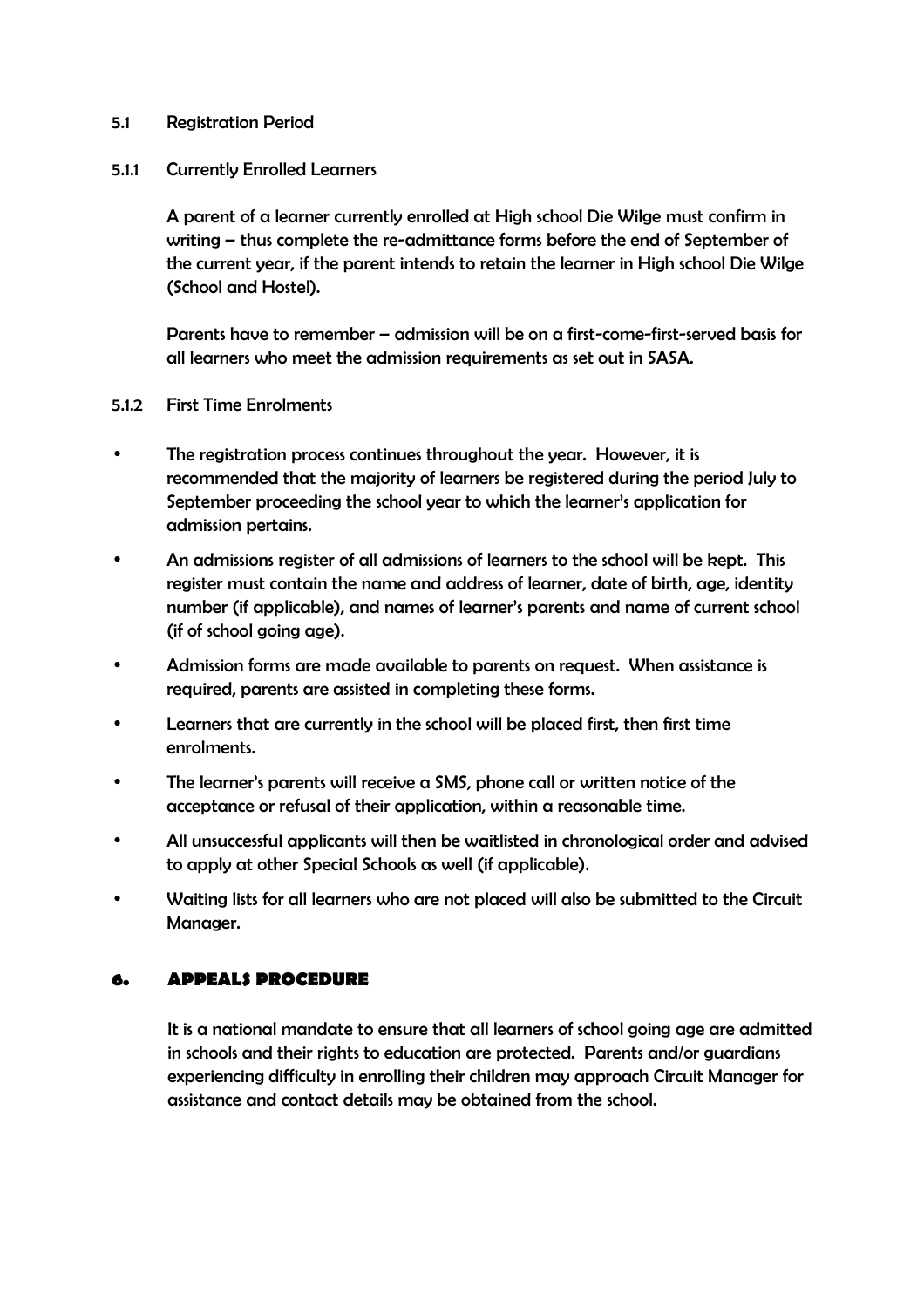### 5.1 Registration Period

### 5.1.1 Currently Enrolled Learners

 A parent of a learner currently enrolled at High school Die Wilge must confirm in writing – thus complete the re-admittance forms before the end of September of the current year, if the parent intends to retain the learner in High school Die Wilge (School and Hostel).

 Parents have to remember – admission will be on a first-come-first-served basis for all learners who meet the admission requirements as set out in SASA.

### 5.1.2 First Time Enrolments

- The registration process continues throughout the year. However, it is recommended that the majority of learners be registered during the period July to September proceeding the school year to which the learner's application for admission pertains.
- An admissions register of all admissions of learners to the school will be kept. This register must contain the name and address of learner, date of birth, age, identity number (if applicable), and names of learner's parents and name of current school (if of school going age).
- Admission forms are made available to parents on request. When assistance is required, parents are assisted in completing these forms.
- Learners that are currently in the school will be placed first, then first time enrolments.
- The learner's parents will receive a SMS, phone call or written notice of the acceptance or refusal of their application, within a reasonable time.
- All unsuccessful applicants will then be waitlisted in chronological order and advised to apply at other Special Schools as well (if applicable).
- Waiting lists for all learners who are not placed will also be submitted to the Circuit Manager.

### **6. APPEALS PROCEDURE**

It is a national mandate to ensure that all learners of school going age are admitted in schools and their rights to education are protected. Parents and/or guardians experiencing difficulty in enrolling their children may approach Circuit Manager for assistance and contact details may be obtained from the school.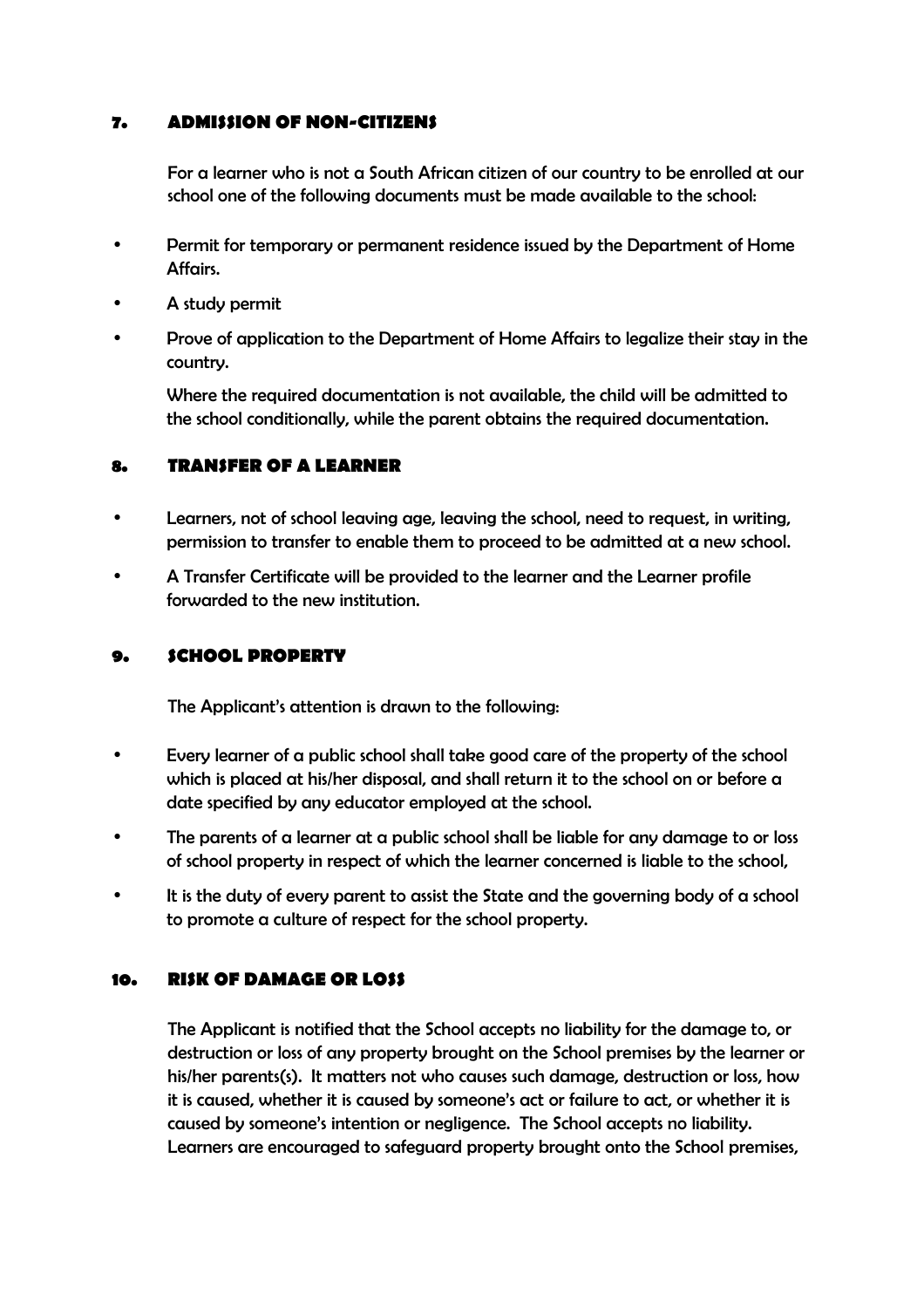### **7. ADMISSION OF NON-CITIZENS**

For a learner who is not a South African citizen of our country to be enrolled at our school one of the following documents must be made available to the school:

- Permit for temporary or permanent residence issued by the Department of Home Affairs.
- A study permit
- Prove of application to the Department of Home Affairs to legalize their stay in the country.

 Where the required documentation is not available, the child will be admitted to the school conditionally, while the parent obtains the required documentation.

### **8. TRANSFER OF A LEARNER**

- Learners, not of school leaving age, leaving the school, need to request, in writing, permission to transfer to enable them to proceed to be admitted at a new school.
- A Transfer Certificate will be provided to the learner and the Learner profile forwarded to the new institution.

### **9. SCHOOL PROPERTY**

The Applicant's attention is drawn to the following:

- Every learner of a public school shall take good care of the property of the school which is placed at his/her disposal, and shall return it to the school on or before a date specified by any educator employed at the school.
- The parents of a learner at a public school shall be liable for any damage to or loss of school property in respect of which the learner concerned is liable to the school,
- It is the duty of every parent to assist the State and the governing body of a school to promote a culture of respect for the school property.

### **10. RISK OF DAMAGE OR LOSS**

The Applicant is notified that the School accepts no liability for the damage to, or destruction or loss of any property brought on the School premises by the learner or his/her parents(s). It matters not who causes such damage, destruction or loss, how it is caused, whether it is caused by someone's act or failure to act, or whether it is caused by someone's intention or negligence. The School accepts no liability. Learners are encouraged to safeguard property brought onto the School premises,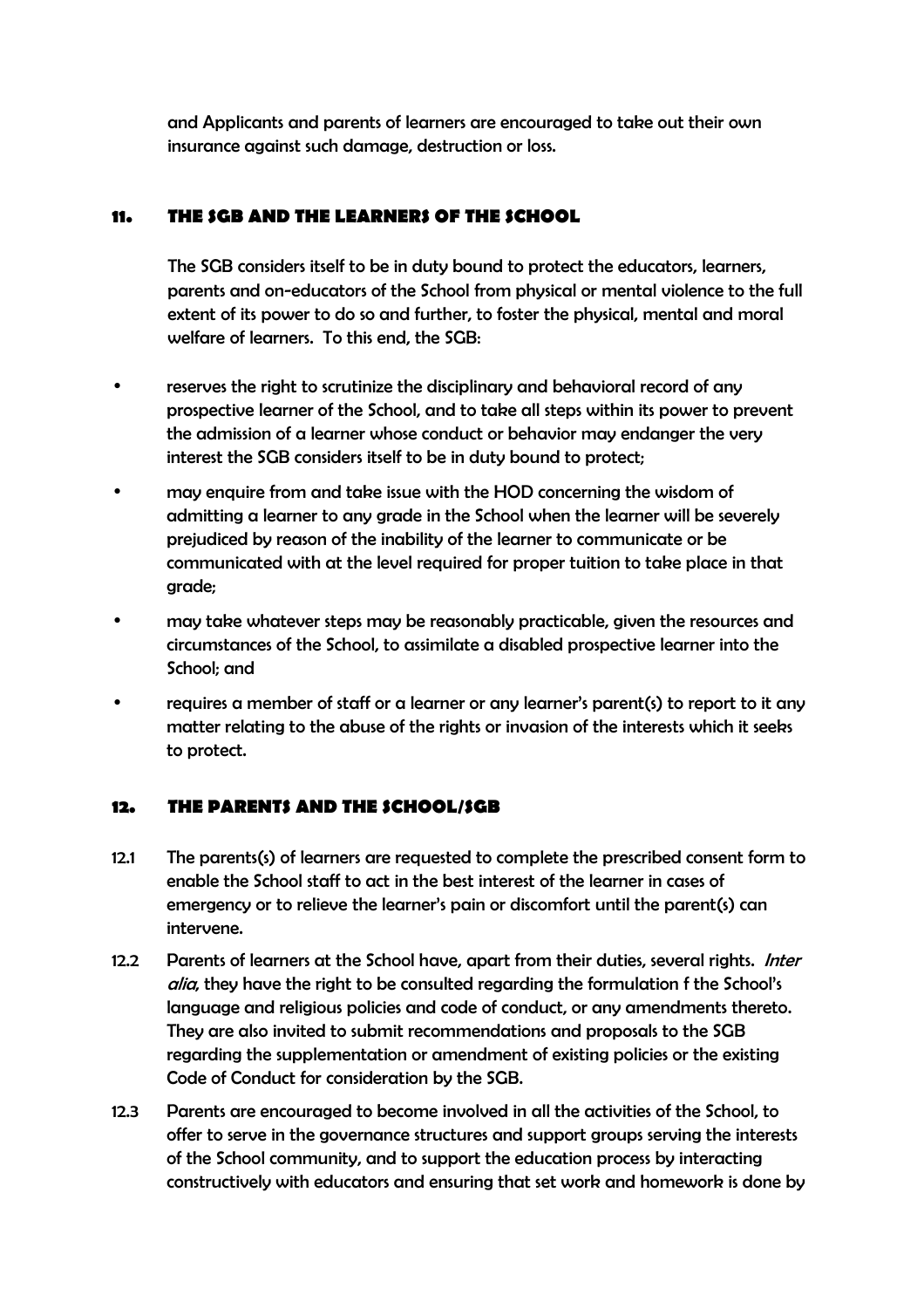and Applicants and parents of learners are encouraged to take out their own insurance against such damage, destruction or loss.

## **11. THE SGB AND THE LEARNERS OF THE SCHOOL**

The SGB considers itself to be in duty bound to protect the educators, learners, parents and on-educators of the School from physical or mental violence to the full extent of its power to do so and further, to foster the physical, mental and moral welfare of learners. To this end, the SGB:

- reserves the right to scrutinize the disciplinary and behavioral record of any prospective learner of the School, and to take all steps within its power to prevent the admission of a learner whose conduct or behavior may endanger the very interest the SGB considers itself to be in duty bound to protect;
- may enquire from and take issue with the HOD concerning the wisdom of admitting a learner to any grade in the School when the learner will be severely prejudiced by reason of the inability of the learner to communicate or be communicated with at the level required for proper tuition to take place in that grade;
- may take whatever steps may be reasonably practicable, given the resources and circumstances of the School, to assimilate a disabled prospective learner into the School; and
- requires a member of staff or a learner or any learner's parent(s) to report to it any matter relating to the abuse of the rights or invasion of the interests which it seeks to protect.

### **12. THE PARENTS AND THE SCHOOL/SGB**

- 12.1 The parents(s) of learners are requested to complete the prescribed consent form to enable the School staff to act in the best interest of the learner in cases of emergency or to relieve the learner's pain or discomfort until the parent(s) can intervene.
- 12.2 Parents of learners at the School have, apart from their duties, several rights. *Inter* alia, they have the right to be consulted regarding the formulation f the School's language and religious policies and code of conduct, or any amendments thereto. They are also invited to submit recommendations and proposals to the SGB regarding the supplementation or amendment of existing policies or the existing Code of Conduct for consideration by the SGB.
- 12.3 Parents are encouraged to become involved in all the activities of the School, to offer to serve in the governance structures and support groups serving the interests of the School community, and to support the education process by interacting constructively with educators and ensuring that set work and homework is done by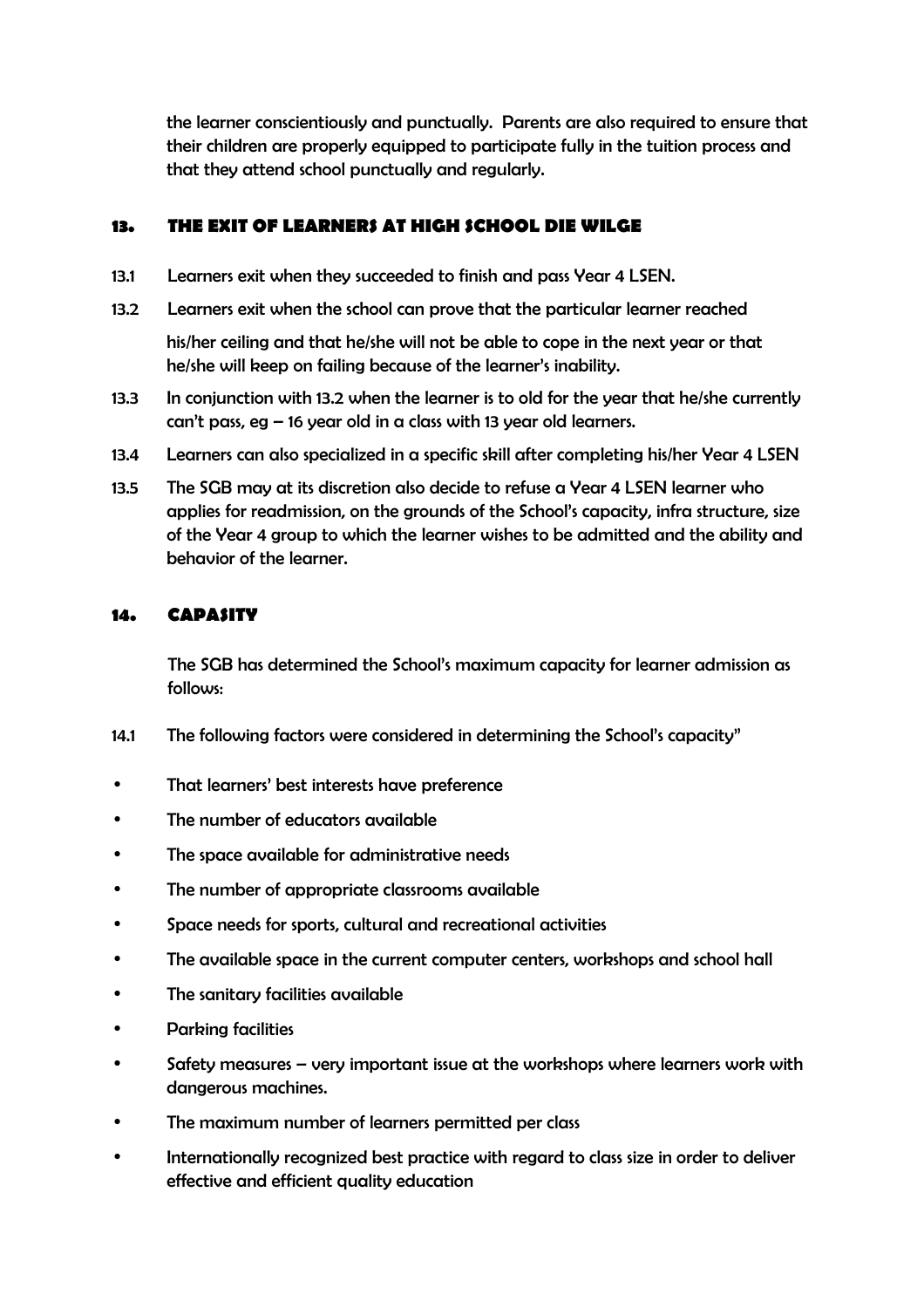the learner conscientiously and punctually. Parents are also required to ensure that their children are properly equipped to participate fully in the tuition process and that they attend school punctually and regularly.

### **13. THE EXIT OF LEARNERS AT HIGH SCHOOL DIE WILGE**

- 13.1 Learners exit when they succeeded to finish and pass Year 4 LSEN.
- 13.2 Learners exit when the school can prove that the particular learner reached

his/her ceiling and that he/she will not be able to cope in the next year or that he/she will keep on failing because of the learner's inability.

- 13.3 In conjunction with 13.2 when the learner is to old for the year that he/she currently can't pass, eg – 16 year old in a class with 13 year old learners.
- 13.4 Learners can also specialized in a specific skill after completing his/her Year 4 LSEN
- 13.5 The SGB may at its discretion also decide to refuse a Year 4 LSEN learner who applies for readmission, on the grounds of the School's capacity, infra structure, size of the Year 4 group to which the learner wishes to be admitted and the ability and behavior of the learner.

### **14. CAPASITY**

The SGB has determined the School's maximum capacity for learner admission as follows:

- 14.1 The following factors were considered in determining the School's capacity"
- That learners' best interests have preference
- The number of educators available
- The space available for administrative needs
- The number of appropriate classrooms available
- Space needs for sports, cultural and recreational activities
- The available space in the current computer centers, workshops and school hall
- The sanitary facilities available
- Parking facilities
- Safety measures very important issue at the workshops where learners work with dangerous machines.
- The maximum number of learners permitted per class
- Internationally recognized best practice with regard to class size in order to deliver effective and efficient quality education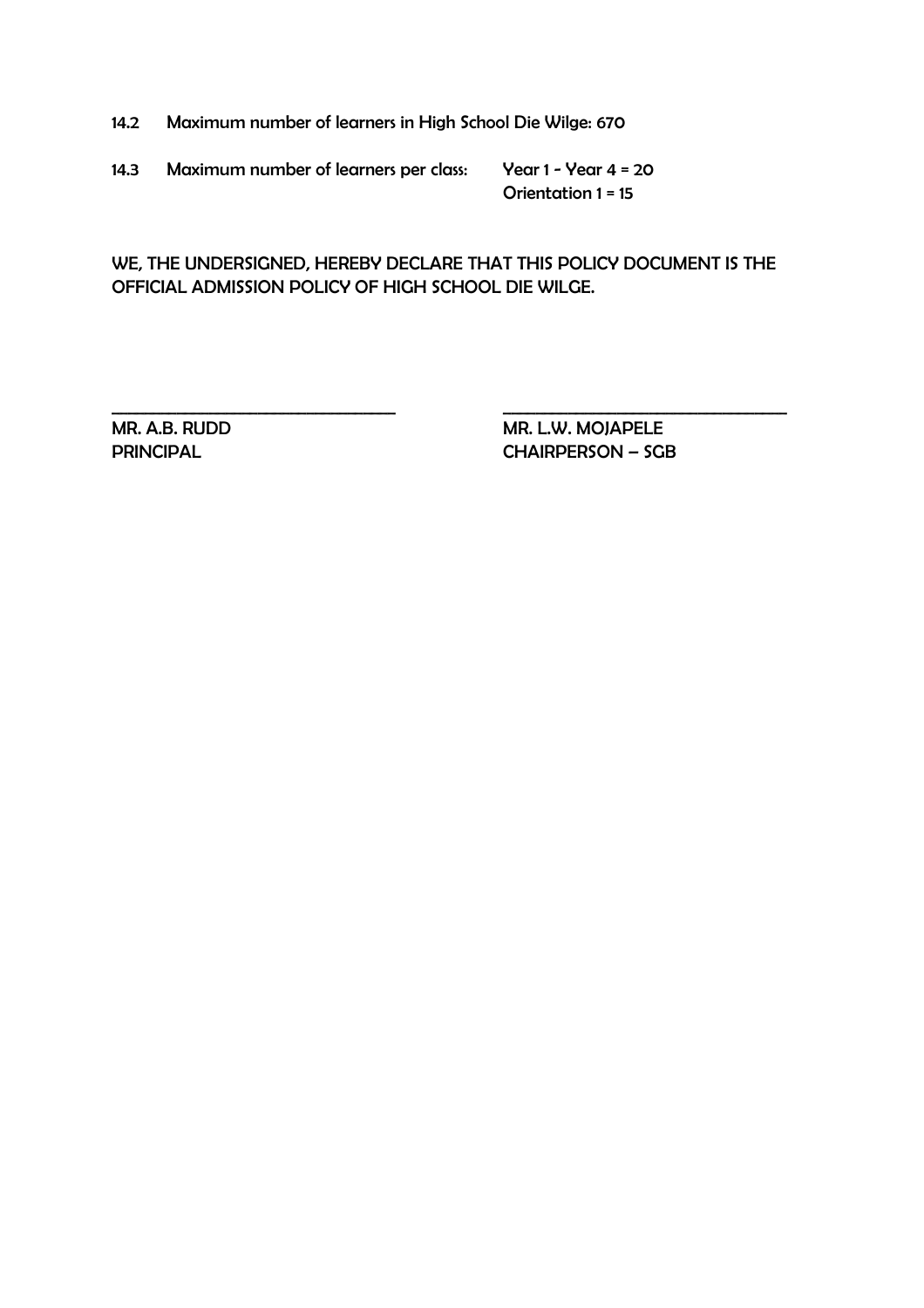14.2 Maximum number of learners in High School Die Wilge: 670

14.3 Maximum number of learners per class: Year 1 - Year 4 = 20

Orientation 1 = 15

WE, THE UNDERSIGNED, HEREBY DECLARE THAT THIS POLICY DOCUMENT IS THE OFFICIAL ADMISSION POLICY OF HIGH SCHOOL DIE WILGE.

\_\_\_\_\_\_\_\_\_\_\_\_\_\_\_\_\_\_\_\_\_\_\_\_\_\_\_\_\_\_\_\_\_\_\_ \_\_\_\_\_\_\_\_\_\_\_\_\_\_\_\_\_\_\_\_\_\_\_\_\_\_\_\_\_\_\_\_\_\_\_

MR. A.B. RUDD MR. L.W. MOJAPELE PRINCIPAL CHAIRPERSON – SGB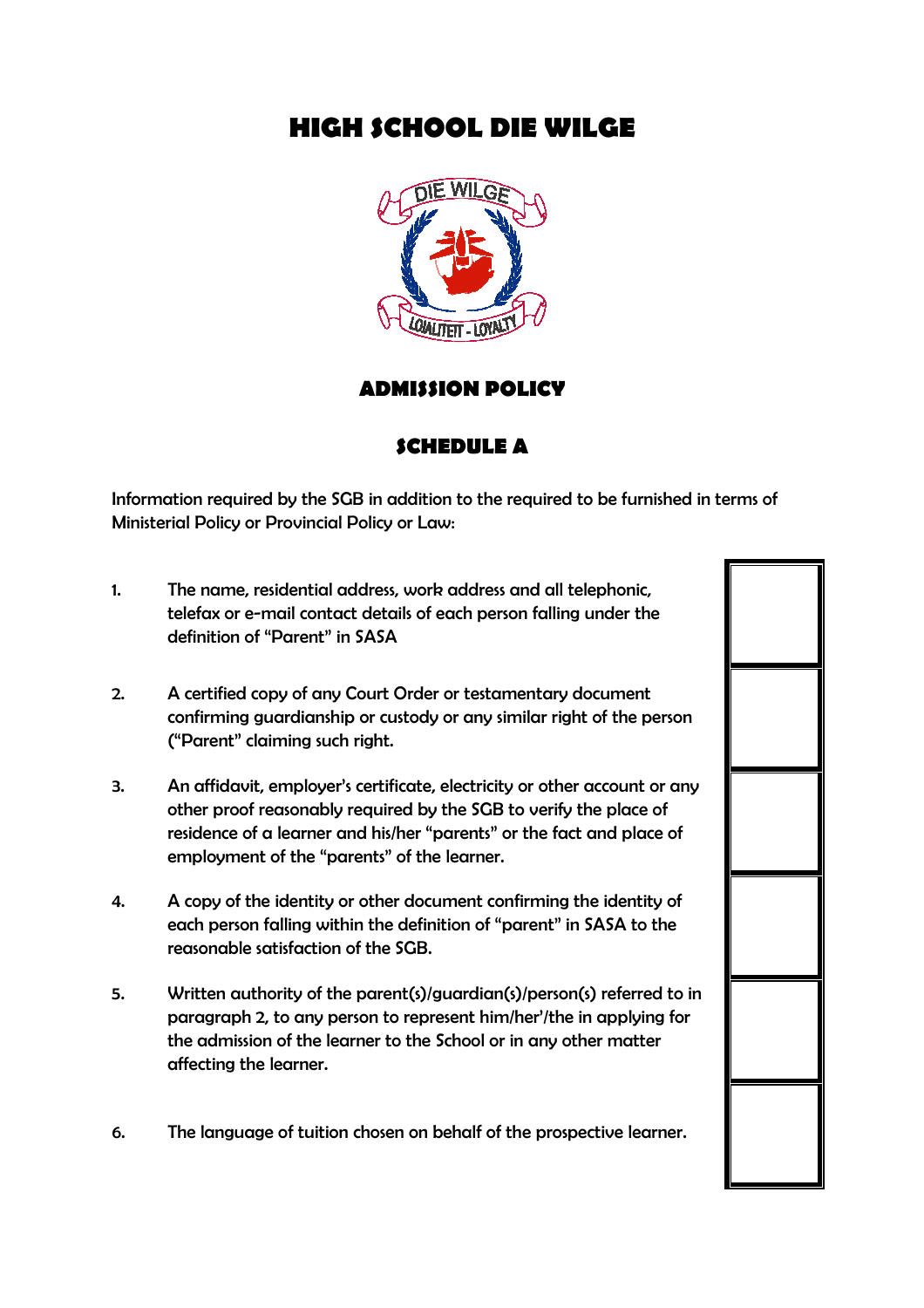# **HIGH SCHOOL DIE WILGE**



## **ADMISSION POLICY**

## **SCHEDULE A**

Information required by the SGB in addition to the required to be furnished in terms of Ministerial Policy or Provincial Policy or Law:

- 1. The name, residential address, work address and all telephonic, telefax or e-mail contact details of each person falling under the definition of "Parent" in SASA
- 2. A certified copy of any Court Order or testamentary document confirming guardianship or custody or any similar right of the person ("Parent" claiming such right.
- 3. An affidavit, employer's certificate, electricity or other account or any other proof reasonably required by the SGB to verify the place of residence of a learner and his/her "parents" or the fact and place of employment of the "parents" of the learner.
- 4. A copy of the identity or other document confirming the identity of each person falling within the definition of "parent" in SASA to the reasonable satisfaction of the SGB.
- 5. Written authority of the parent(s)/guardian(s)/person(s) referred to in paragraph 2, to any person to represent him/her'/the in applying for the admission of the learner to the School or in any other matter affecting the learner.
- 6. The language of tuition chosen on behalf of the prospective learner.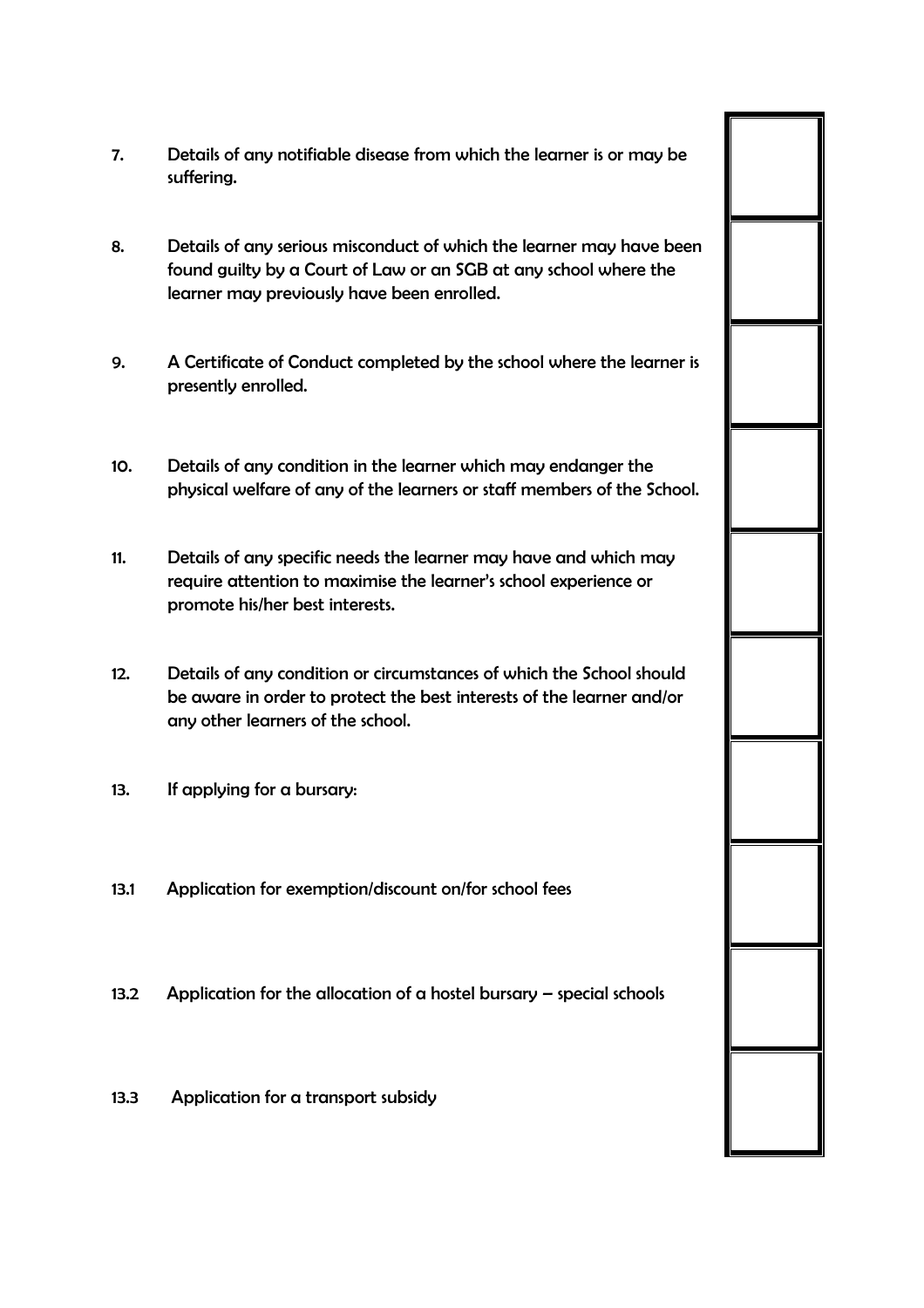- 7. Details of any notifiable disease from which the learner is or may be suffering.
- 8. Details of any serious misconduct of which the learner may have been found guilty by a Court of Law or an SGB at any school where the learner may previously have been enrolled.
- 9. A Certificate of Conduct completed by the school where the learner is presently enrolled.
- 10. Details of any condition in the learner which may endanger the physical welfare of any of the learners or staff members of the School.
- 11. Details of any specific needs the learner may have and which may require attention to maximise the learner's school experience or promote his/her best interests.
- 12. Details of any condition or circumstances of which the School should be aware in order to protect the best interests of the learner and/or any other learners of the school.
- 13. If applying for a bursary:
- 13.1 Application for exemption/discount on/for school fees
- 13.2 Application for the allocation of a hostel bursary special schools
- 13.3 Application for a transport subsidy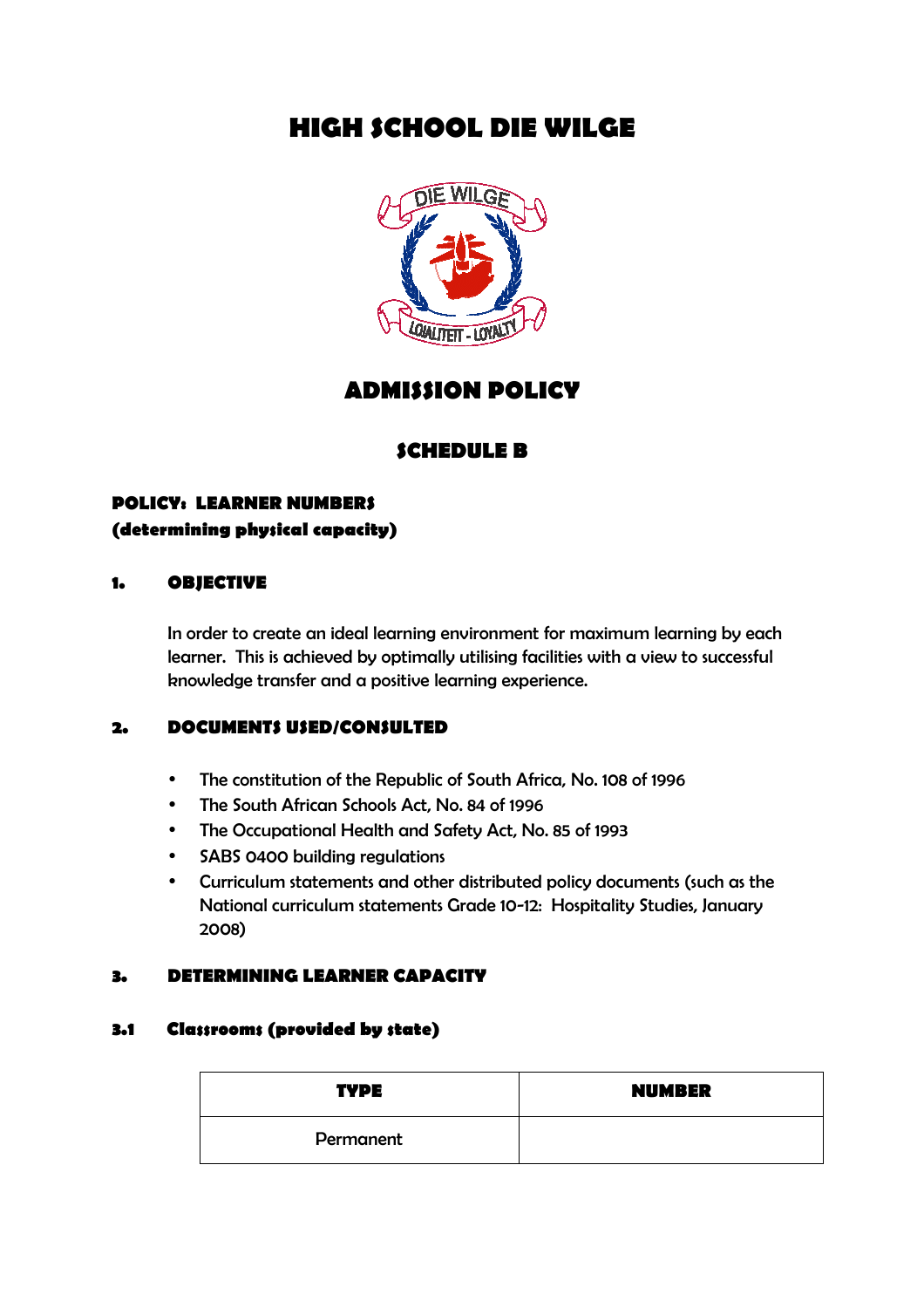# **HIGH SCHOOL DIE WILGE**



# **ADMISSION POLICY**

## **SCHEDULE B**

# **POLICY: LEARNER NUMBERS (determining physical capacity)**

### **1. OBJECTIVE**

In order to create an ideal learning environment for maximum learning by each learner. This is achieved by optimally utilising facilities with a view to successful knowledge transfer and a positive learning experience.

### **2. DOCUMENTS USED/CONSULTED**

- The constitution of the Republic of South Africa, No. 108 of 1996
- The South African Schools Act, No. 84 of 1996
- The Occupational Health and Safety Act, No. 85 of 1993
- SABS 0400 building regulations
- Curriculum statements and other distributed policy documents (such as the National curriculum statements Grade 10-12: Hospitality Studies, January 2008)

### **3. DETERMINING LEARNER CAPACITY**

### **3.1 Classrooms (provided by state)**

| <b>TYPE</b> | <b>NUMBER</b> |
|-------------|---------------|
| Permanent   |               |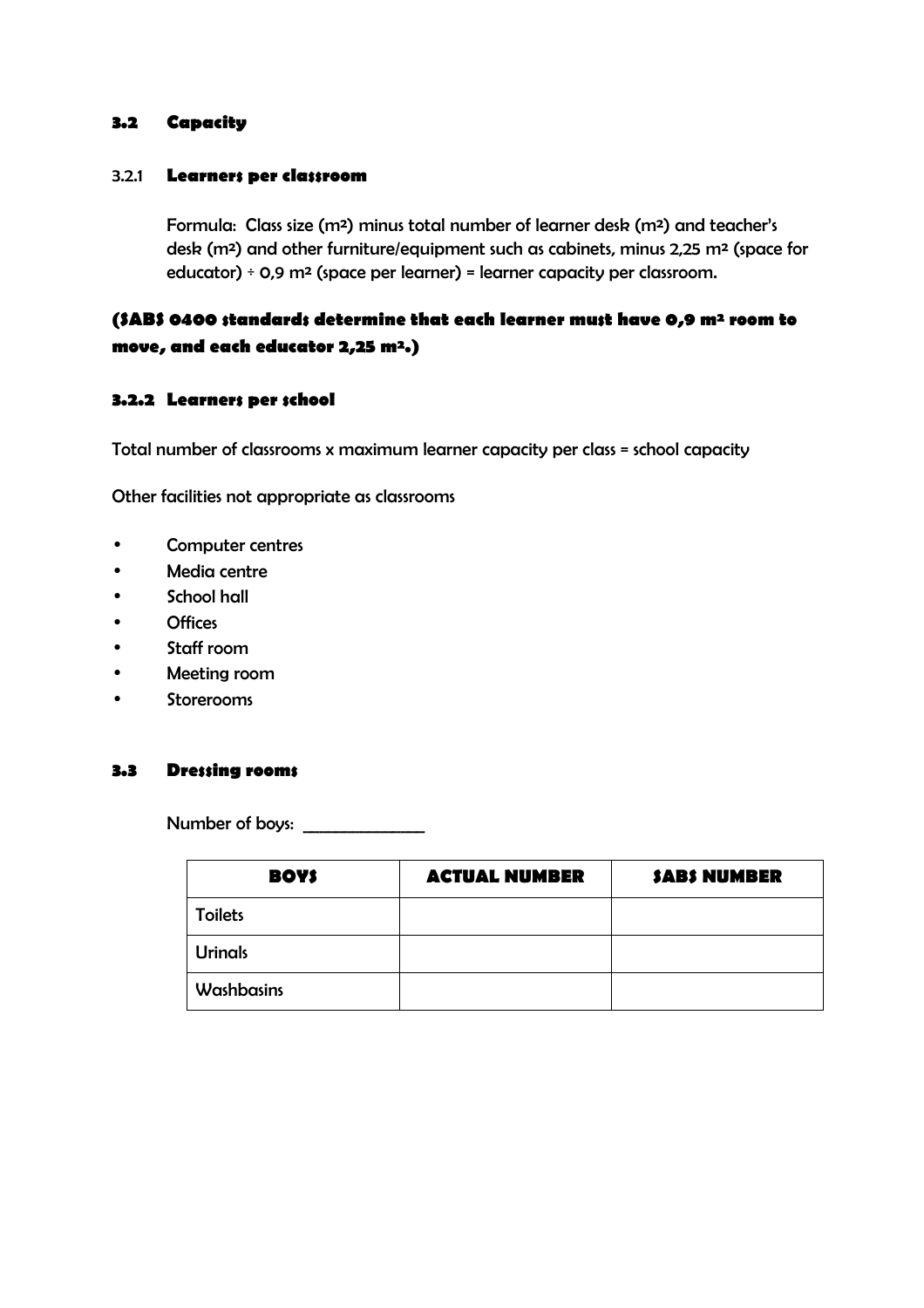### **3.2 Capacity**

#### 3.2.1 **Learners per classroom**

Formula: Class size (m²) minus total number of learner desk (m²) and teacher's desk (m²) and other furniture/equipment such as cabinets, minus 2,25 m² (space for educator)  $\div$  0,9 m<sup>2</sup> (space per learner) = learner capacity per classroom.

## **(SABS 0400 standards determine that each learner must have 0,9 m² room to move, and each educator 2,25 m².)**

#### **3.2.2 Learners per school**

Total number of classrooms x maximum learner capacity per class = school capacity

Other facilities not appropriate as classrooms

- Computer centres
- Media centre
- School hall
- Offices
- Staff room
- Meeting room
- Storerooms

#### **3.3 Dressing rooms**

Number of boys:

| <b>BOYS</b>    | <b>ACTUAL NUMBER</b> | <b>SABS NUMBER</b> |
|----------------|----------------------|--------------------|
| <b>Toilets</b> |                      |                    |
| <b>Urinals</b> |                      |                    |
| Washbasins     |                      |                    |